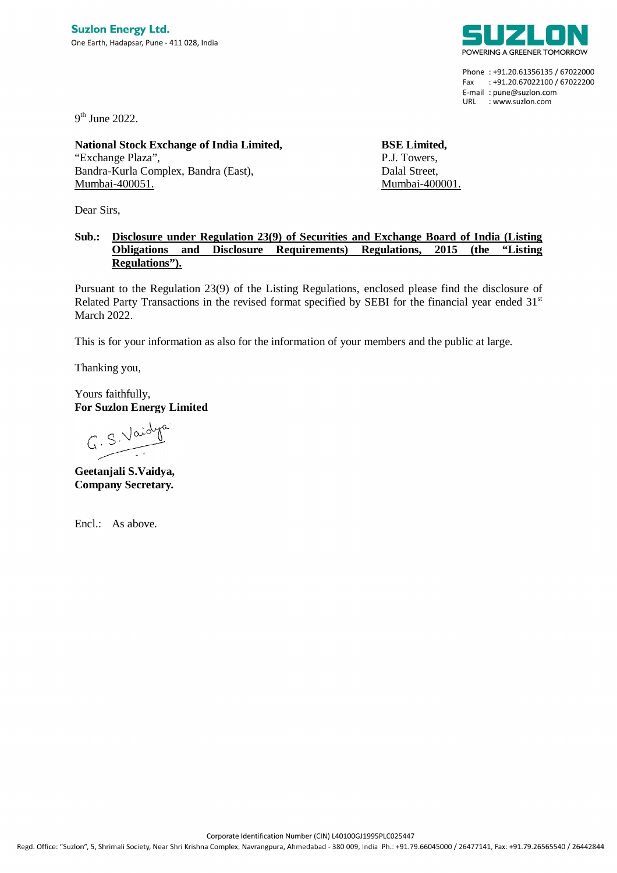

Phone: +91.20.61356135 / 67022000 Fax: +91.20.67022100 / 67022200 E-mail: pune@suzlon.com URL : www.suzlon.com

9<sup>th</sup> June 2022.

**National Stock Exchange of India Limited,** "Exchange Plaza", Bandra-Kurla Complex, Bandra (East), Mumbai-400051.

Dear Sirs,

**BSE Limited,** P.J. Towers, Dalal Street, Mumbai-400001.

## **Sub.: Disclosure under Regulation 23(9) of Securities and Exchange Board of India (Listing Obligations and Disclosure Requirements) Regulations, 2015 (the "Listing Regulations").**

Pursuant to the Regulation 23(9) of the Listing Regulations, enclosed please find the disclosure of Related Party Transactions in the revised format specified by SEBI for the financial year ended  $31<sup>st</sup>$ March 2022.

This is for your information as also for the information of your members and the public at large.

Thanking you,

Yours faithfully, **For Suzlon Energy Limited**

G. S. Vaidya

**Geetanjali S.Vaidya, Company Secretary.**

Encl.: As above.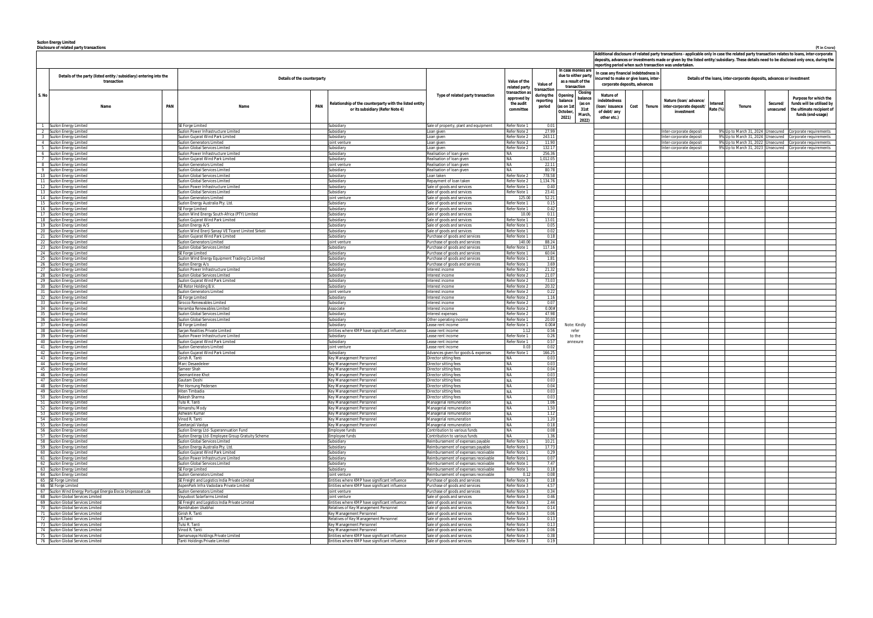**Suzlon Energy Limited**

|                | Disclosure of related party transactions                               |     |                                                                             |                                                                |                                                                                                                 |                              |                  |                     |                                                                                                |                              |      |  |                                                                                                                                                                                                                                                                                            |          |                                   |                       | (₹ in Crore)                                             |
|----------------|------------------------------------------------------------------------|-----|-----------------------------------------------------------------------------|----------------------------------------------------------------|-----------------------------------------------------------------------------------------------------------------|------------------------------|------------------|---------------------|------------------------------------------------------------------------------------------------|------------------------------|------|--|--------------------------------------------------------------------------------------------------------------------------------------------------------------------------------------------------------------------------------------------------------------------------------------------|----------|-----------------------------------|-----------------------|----------------------------------------------------------|
|                |                                                                        |     |                                                                             |                                                                |                                                                                                                 |                              |                  |                     |                                                                                                |                              |      |  | Additional disclosure of related party transactions - applicable only in case the related party transaction relates to loans, inter-corporate<br>deposits, advances or investments made or given by the listed entity/subsidiary. These details need to be disclosed only once, during the |          |                                   |                       |                                                          |
|                |                                                                        |     |                                                                             |                                                                |                                                                                                                 |                              |                  | In case monies are  | reporting period when such transaction was undertaken.<br>In case any financial indebtedness i |                              |      |  |                                                                                                                                                                                                                                                                                            |          |                                   |                       |                                                          |
|                | Details of the party (listed entity /subsidiary) entering into the     |     | Details of the counterparty                                                 |                                                                |                                                                                                                 |                              |                  | due to either party | ncurred to make or give loans, inter                                                           |                              |      |  | Details of the loans, inter-corporate deposits, advances or investment                                                                                                                                                                                                                     |          |                                   |                       |                                                          |
|                | transaction                                                            |     |                                                                             |                                                                |                                                                                                                 | Value of the                 | Value of         |                     | as a result of the                                                                             | corporate deposits, advances |      |  |                                                                                                                                                                                                                                                                                            |          |                                   |                       |                                                          |
|                |                                                                        |     |                                                                             |                                                                |                                                                                                                 | related party                | transaction      |                     | transaction                                                                                    |                              |      |  |                                                                                                                                                                                                                                                                                            |          |                                   |                       |                                                          |
| S. No          |                                                                        |     |                                                                             |                                                                | transaction a<br>Closing<br>Type of related party transaction<br>during the<br>Openin<br>balance<br>approved by |                              |                  |                     | Nature of                                                                                      |                              |      |  |                                                                                                                                                                                                                                                                                            |          |                                   | Purpose for which the |                                                          |
|                |                                                                        |     |                                                                             | Relationship of the counterparty with the listed entity        |                                                                                                                 | the audit                    | reporting        | balance             | (as on                                                                                         | indebtedness                 |      |  | Nature (Ioan/ advance/                                                                                                                                                                                                                                                                     | nteresi  |                                   | Secured/              | funds will be utilised by                                |
|                | Name                                                                   | PAN | PAN<br>Name                                                                 | or its subsidiary (Refer Note 4)                               |                                                                                                                 | committee                    | period           | (as on 1            | 31st                                                                                           | loan/issuance                | Cost |  | Tenure inter-corporate deposit/                                                                                                                                                                                                                                                            | Rate (%) | Tenure                            | unsecured             | the ultimate recipient o                                 |
|                |                                                                        |     |                                                                             |                                                                |                                                                                                                 |                              |                  | October             | March,                                                                                         | of debt/ any                 |      |  | investment                                                                                                                                                                                                                                                                                 |          |                                   |                       | funds (end-usage)                                        |
|                |                                                                        |     |                                                                             |                                                                |                                                                                                                 |                              |                  | 2021)               | 2022)                                                                                          | other etc.)                  |      |  |                                                                                                                                                                                                                                                                                            |          |                                   |                       |                                                          |
|                | 1 Suzlon Energy Limited                                                |     | SE Forge Limited                                                            | Subsidiary                                                     | Sale of property, plant and equipment                                                                           | Refer Note 1                 | 0.01             |                     |                                                                                                |                              |      |  |                                                                                                                                                                                                                                                                                            |          |                                   |                       |                                                          |
|                | 2 Suzlon Energy Limited                                                |     | Suzlon Power Infrastructure Limited                                         | Subsidiary                                                     | Loan given                                                                                                      | Refer Note 2                 | 27.99            |                     |                                                                                                |                              |      |  | nter-corporate deposit                                                                                                                                                                                                                                                                     |          | 9% Up to March 31, 2024 Unsecured |                       | Corporate requirements                                   |
|                | 3 Suzlon Energy Limited                                                |     | Suzlon Guiarat Wind Park Limited                                            | Subsidiary                                                     | Loan given                                                                                                      | Refer Note 2                 | 243.11           |                     |                                                                                                |                              |      |  | ter-corporate deposit                                                                                                                                                                                                                                                                      |          | 9% Up to March 31, 2024 Unsecured |                       | Corporate requirements                                   |
|                | 4 Suzlon Energy Limited                                                |     | Suzion Generators Limited                                                   | loint venture                                                  | Loan given                                                                                                      | Refer Note 2                 | 11.90            |                     |                                                                                                |                              |      |  | nter-corporate deposit                                                                                                                                                                                                                                                                     |          | 9% Up to March 31, 2022           | Unsecured             | Corporate requirements                                   |
| 6              | 5 Suzlon Energy Limited                                                |     | uzion Global Services Limited<br>Suzlon Power Infrastructure Limited        | Subsidiary<br>Subsidiary                                       | Loan given<br>Realisation of loan given                                                                         | Refer Note 2<br><b>NA</b>    | 132.17<br>256.36 |                     |                                                                                                |                              |      |  | ter-corporate deposit                                                                                                                                                                                                                                                                      |          |                                   |                       | 9% Up to March 31, 2023 Unsecured Corporate requirements |
| $\overline{7}$ | Suzlon Energy Limited<br>Suzlon Energy Limited                         |     | Suzlon Gujarat Wind Park Limited                                            | Subsidiarv                                                     | Realisation of loan given                                                                                       | <b>NA</b>                    | 1,012.05         |                     |                                                                                                |                              |      |  |                                                                                                                                                                                                                                                                                            |          |                                   |                       |                                                          |
| 8 <sup>1</sup> | Suzlon Energy Limited                                                  |     | Suzlon Generators Limited                                                   | loint ventur                                                   | Realisation of loan given                                                                                       | <b>NA</b>                    | 22.11            |                     |                                                                                                |                              |      |  |                                                                                                                                                                                                                                                                                            |          |                                   |                       |                                                          |
|                | 9 Suzlon Energy Limited                                                |     | Suzlon Global Services Limited                                              | Subsidiary                                                     | Realisation of loan given                                                                                       | <b>NA</b>                    | 80.78            |                     |                                                                                                |                              |      |  |                                                                                                                                                                                                                                                                                            |          |                                   |                       |                                                          |
|                | 10 Suzlon Energy Limited                                               |     | Suzlon Global Services Limited                                              | Subsidiary                                                     | Loan taken                                                                                                      | Refer Note 2                 | 778.58           |                     |                                                                                                |                              |      |  |                                                                                                                                                                                                                                                                                            |          |                                   |                       |                                                          |
|                | 11 Suzlon Energy Limited                                               |     | Suzlon Global Services Limited                                              | Subsidiarv                                                     | λepayment of loan taken                                                                                         | Refer Note 2                 | 1,134.76         |                     |                                                                                                |                              |      |  |                                                                                                                                                                                                                                                                                            |          |                                   |                       |                                                          |
|                | 12 Suzlon Energy Limited                                               |     | Suzlon Power Infrastructure Limited                                         | Subsidiary                                                     | Sale of goods and services                                                                                      | Refer Note                   | 0.40             |                     |                                                                                                |                              |      |  |                                                                                                                                                                                                                                                                                            |          |                                   |                       |                                                          |
|                | 13 Suzlon Energy Limited                                               |     | Suzlon Global Services Limited                                              | Subsidiary                                                     | Sale of goods and services                                                                                      | Refer Note 1                 | 23.41            |                     |                                                                                                |                              |      |  |                                                                                                                                                                                                                                                                                            |          |                                   |                       |                                                          |
|                | 14 Suzlon Energy Limited                                               |     | <b>Suzion Generators Limited</b>                                            | loint venture                                                  | Sale of goods and services                                                                                      | 125.00                       | 52.21            |                     |                                                                                                |                              |      |  |                                                                                                                                                                                                                                                                                            |          |                                   |                       |                                                          |
|                | 15 Suzlon Energy Limited<br>16 Suzlon Energy Limited                   |     | Suzlon Energy Australia Pty. Ltd.<br>SE Forge Limited                       | Subsidiary<br>Subsidiary                                       | Sale of goods and services<br>Sale of goods and services                                                        | Refer Note 1<br>Refer Note   | 0.15<br>0.42     |                     |                                                                                                |                              |      |  |                                                                                                                                                                                                                                                                                            |          |                                   |                       |                                                          |
|                | 17 Suzlon Energy Limited                                               |     | Suzlon Wind Energy South-Africa (PTY) Limited                               | Subsidiary                                                     | Sale of goods and services                                                                                      | 10.00                        | 0.11             |                     |                                                                                                |                              |      |  |                                                                                                                                                                                                                                                                                            |          |                                   |                       |                                                          |
|                | 18 Suzlon Energy Limited                                               |     | Suzlon Gujarat Wind Park Limited                                            | Subsidiary                                                     | Sale of goods and services                                                                                      | Refer Note 1                 | 13.01            |                     |                                                                                                |                              |      |  |                                                                                                                                                                                                                                                                                            |          |                                   |                       |                                                          |
|                | 19 Suzlon Energy Limited                                               |     | Suzlon Energy A/S                                                           | Subsidiary                                                     | Sale of goods and services                                                                                      | Refer Note 1                 | 0.05             |                     |                                                                                                |                              |      |  |                                                                                                                                                                                                                                                                                            |          |                                   |                       |                                                          |
|                | 20 Suzlon Energy Limited                                               |     | Suzlon Wind Enerji Sanayi VE Ticaret Limited Sirketi                        | Subsidiary                                                     | Sale of goods and services                                                                                      | Refer Note                   | 0.02             |                     |                                                                                                |                              |      |  |                                                                                                                                                                                                                                                                                            |          |                                   |                       |                                                          |
| 21             | <b>Suzion Energy Limited</b>                                           |     | Suzlon Gujarat Wind Park Limited                                            | Subsidiary                                                     | Purchase of goods and services                                                                                  | Refer Note 1                 | 0.18             |                     |                                                                                                |                              |      |  |                                                                                                                                                                                                                                                                                            |          |                                   |                       |                                                          |
|                | 22 Suzlon Energy Limited                                               |     | Suzlon Generators Limited                                                   | loint venture                                                  | Purchase of goods and services                                                                                  | 140.0                        | 88.24            |                     |                                                                                                |                              |      |  |                                                                                                                                                                                                                                                                                            |          |                                   |                       |                                                          |
|                | 23 Suzlon Energy Limited                                               |     | Suzlon Global Services Limited                                              | Subsidiary                                                     | Purchase of goods and services                                                                                  | Refer Note 1                 | 117.16           |                     |                                                                                                |                              |      |  |                                                                                                                                                                                                                                                                                            |          |                                   |                       |                                                          |
|                | 24 Suzlon Energy Limited                                               |     | SE Forge Limited                                                            | Subsidiary                                                     | Purchase of goods and services                                                                                  | Refer Note                   | 60.04            |                     |                                                                                                |                              |      |  |                                                                                                                                                                                                                                                                                            |          |                                   |                       |                                                          |
| 25             | <b>Suzion Energy Limited</b>                                           |     | Guzlon Wind Energy Equipment Trading Co Limited                             | Subsidiary                                                     | Purchase of goods and services                                                                                  | Refer Note<br>Refer Note     | 1.81<br>3.69     |                     |                                                                                                |                              |      |  |                                                                                                                                                                                                                                                                                            |          |                                   |                       |                                                          |
|                | 26 Suzlon Energy Limited<br>27 Suzlon Energy Limited                   |     | Suzion Energy A/s<br>Suzlon Power Infrastructure Limited                    | Subsidiary<br>Subsidiary                                       | Purchase of goods and services<br>Interest income                                                               | Refer Note 2                 | 21.32            |                     |                                                                                                |                              |      |  |                                                                                                                                                                                                                                                                                            |          |                                   |                       |                                                          |
|                | 28 Suzlon Energy Limited                                               |     | Suzlon Global Services Limited                                              | Subsidiary                                                     | Interest income                                                                                                 | Refer Note 2                 | 21.07            |                     |                                                                                                |                              |      |  |                                                                                                                                                                                                                                                                                            |          |                                   |                       |                                                          |
|                | 29 Suzlon Energy Limited                                               |     | Suzlon Gujarat Wind Park Limited                                            | Subsidiary                                                     | Interest income                                                                                                 | Refer Note 2                 | 73.03            |                     |                                                                                                |                              |      |  |                                                                                                                                                                                                                                                                                            |          |                                   |                       |                                                          |
|                | 30 Suzlon Energy Limited                                               |     | AE Rotor Holding B.V.                                                       | Subsidiary                                                     | nterest income                                                                                                  | Refer Note 2                 | 20.32            |                     |                                                                                                |                              |      |  |                                                                                                                                                                                                                                                                                            |          |                                   |                       |                                                          |
|                | 31 Suzlon Energy Limited                                               |     | Suzlon Generators Limited                                                   | loint venture                                                  | Interest income                                                                                                 | Refer Note 2                 | 0.22             |                     |                                                                                                |                              |      |  |                                                                                                                                                                                                                                                                                            |          |                                   |                       |                                                          |
|                | 32 Suzlon Energy Limited                                               |     | SE Forge Limited                                                            | Subsidiary                                                     | Interest income                                                                                                 | Refer Note 2                 | 1.16             |                     |                                                                                                |                              |      |  |                                                                                                                                                                                                                                                                                            |          |                                   |                       |                                                          |
|                | 33 Suzlon Energy Limited                                               |     | Sirocco Renewables Limited                                                  | Subsidiary                                                     | Interest income                                                                                                 | Refer Note 2                 | 0.07             |                     |                                                                                                |                              |      |  |                                                                                                                                                                                                                                                                                            |          |                                   |                       |                                                          |
|                | 34 Suzlon Energy Limited                                               |     | <del>l</del> eramba Renewables Limited                                      | Associate                                                      | nterest income                                                                                                  | Refer Note 2                 | 0.00#            |                     |                                                                                                |                              |      |  |                                                                                                                                                                                                                                                                                            |          |                                   |                       |                                                          |
|                | 35 Suzlon Energy Limited<br>36 Suzlon Energy Limited                   |     | Suzlon Global Services Limited<br>Suzlon Global Services Limited            | Subsidiary<br>Subsidiarv                                       | Interest expenses<br>Other operating income                                                                     | Refer Note 2<br>Refer Note 1 | 47.98<br>20.00   |                     |                                                                                                |                              |      |  |                                                                                                                                                                                                                                                                                            |          |                                   |                       |                                                          |
|                | 37 Suzlon Energy Limited                                               |     | SE Forge Limited                                                            | Subsidiarv                                                     | Lease rent income                                                                                               | Refer Note 1                 | 0.00#            |                     | Note: Kindly                                                                                   |                              |      |  |                                                                                                                                                                                                                                                                                            |          |                                   |                       |                                                          |
|                | 38 Suzlon Energy Limited                                               |     | Sarjan Realities Private Limited                                            | Intities where KMP have significant influence                  | Lease rent income                                                                                               | $-1.12$                      | 0.56             |                     | refer                                                                                          |                              |      |  |                                                                                                                                                                                                                                                                                            |          |                                   |                       |                                                          |
|                | 39 Suzlon Energy Limited                                               |     | Suzion Power Infrastructure Limited                                         | Subsidiary                                                     | Lease rent income                                                                                               | Refer Note 1                 | 0.26             |                     | to the                                                                                         |                              |      |  |                                                                                                                                                                                                                                                                                            |          |                                   |                       |                                                          |
|                | 40 Suzlon Energy Limited                                               |     | Suzlon Guiarat Wind Park Limited                                            | Subsidiary                                                     | Lease rent income                                                                                               | Refer Note 1                 | 0.57             |                     | annexure                                                                                       |                              |      |  |                                                                                                                                                                                                                                                                                            |          |                                   |                       |                                                          |
|                | 41 Suzlon Energy Limited                                               |     | Suzlon Generators Limited                                                   | loint venture                                                  | Lease rent income                                                                                               | 0.03                         | 0.02             |                     |                                                                                                |                              |      |  |                                                                                                                                                                                                                                                                                            |          |                                   |                       |                                                          |
|                | 42 Suzlon Energy Limited                                               |     | Suzlon Gujarat Wind Park Limited                                            | Subsidiarv                                                     | Advances given for goods & expenses                                                                             | Refer Note 1                 | 166.25           |                     |                                                                                                |                              |      |  |                                                                                                                                                                                                                                                                                            |          |                                   |                       |                                                          |
|                | 43 Suzlon Energy Limited                                               |     | Girish R. Tanti                                                             | Key Management Personnel                                       | Director sitting fees                                                                                           | <b>NA</b>                    | 0.03             |                     |                                                                                                |                              |      |  |                                                                                                                                                                                                                                                                                            |          |                                   |                       |                                                          |
|                | 44 Suzlon Energy Limited                                               |     | Marc Desaedeleer                                                            | Kev Management Personnel                                       | Director sitting fees                                                                                           | <b>NA</b><br><b>NA</b>       | 0.03<br>0.04     |                     |                                                                                                |                              |      |  |                                                                                                                                                                                                                                                                                            |          |                                   |                       |                                                          |
|                | 45 Suzlon Energy Limited                                               |     | Sameer Shah<br>seemantinee Khot                                             | Key Management Personnel<br>Key Management Personnel           | Director sitting fees<br>Director sitting fees                                                                  | I NA                         | 0.03             |                     |                                                                                                |                              |      |  |                                                                                                                                                                                                                                                                                            |          |                                   |                       |                                                          |
|                | 46 Suzion Energy Limited<br>47 Suzlon Energy Limited                   |     | Gautam Doshi                                                                | Key Management Personnel                                       | Director sitting fees                                                                                           | <b>NA</b>                    | 0.03             |                     |                                                                                                |                              |      |  |                                                                                                                                                                                                                                                                                            |          |                                   |                       |                                                          |
|                | 48 Suzlon Energy Limited                                               |     | Per Hornung Pedersen                                                        | Key Management Personnel                                       | Director sitting fees                                                                                           | <b>NA</b>                    | 0.04             |                     |                                                                                                |                              |      |  |                                                                                                                                                                                                                                                                                            |          |                                   |                       |                                                          |
|                | 49 Suzlon Energy Limited                                               |     | Hiten Timbadia                                                              | Key Management Personnel                                       | Director sitting fees                                                                                           | <b>NA</b>                    | 0.03             |                     |                                                                                                |                              |      |  |                                                                                                                                                                                                                                                                                            |          |                                   |                       |                                                          |
|                | 50 Suzlon Energy Limited                                               |     | Rakesh Sharma                                                               | Key Management Personnel                                       | Director sitting fees                                                                                           | <b>NA</b>                    | 0.03             |                     |                                                                                                |                              |      |  |                                                                                                                                                                                                                                                                                            |          |                                   |                       |                                                          |
|                | 51 Suzlon Energy Limited                                               |     | lulsi R. Tanti                                                              | Key Management Personnel                                       | Managerial remuneration                                                                                         | <b>NA</b>                    | 1.06             |                     |                                                                                                |                              |      |  |                                                                                                                                                                                                                                                                                            |          |                                   |                       |                                                          |
|                | 52 Suzlon Energy Limited                                               |     | Himanshu Mody                                                               | Key Management Personnel                                       | Managerial remuneration                                                                                         | <b>NA</b>                    | 1.50             |                     |                                                                                                |                              |      |  |                                                                                                                                                                                                                                                                                            |          |                                   |                       |                                                          |
|                | 53 Suzlon Energy Limited                                               |     | Ashwani Kumar                                                               | Key Management Personnel                                       | Managerial remuneration                                                                                         | <b>NA</b><br><b>NA</b>       | 1.12             |                     |                                                                                                |                              |      |  |                                                                                                                                                                                                                                                                                            |          |                                   |                       |                                                          |
|                | 54 Suzlon Energy Limited<br>55 Suzlon Energy Limited                   |     | Vinod R. Tanti<br>Geetanjali Vaidya                                         | Key Management Personnel<br>Key Management Personnel           | Managerial remuneration                                                                                         | <b>NA</b>                    | 1.20<br>0.18     |                     |                                                                                                |                              |      |  |                                                                                                                                                                                                                                                                                            |          |                                   |                       |                                                          |
|                | 56 Suzlon Energy Limited                                               |     | Suzlon Energy Ltd- Superannuation Fund                                      | Employee funds                                                 | Managerial remuneration<br>Contribution to various funds                                                        | <b>NA</b>                    | 0.08             |                     |                                                                                                |                              |      |  |                                                                                                                                                                                                                                                                                            |          |                                   |                       |                                                          |
|                | 57 Suzlon Energy Limited                                               |     | Suzlon Energy Ltd- Employee Group Gratuity Scheme                           | Employee funds                                                 | Contribution to various funds                                                                                   | <b>NA</b>                    | 1.36             |                     |                                                                                                |                              |      |  |                                                                                                                                                                                                                                                                                            |          |                                   |                       |                                                          |
|                | 58 Suzlon Energy Limited                                               |     | Suzlon Global Services Limited                                              | Subsidiary                                                     | Reimbursement of expenses payable                                                                               | Refer Note 1                 | 10.21            |                     |                                                                                                |                              |      |  |                                                                                                                                                                                                                                                                                            |          |                                   |                       |                                                          |
|                | 59 Suzlon Energy Limited                                               |     | Suzion Energy Australia Pty. Ltd.                                           | Subsidiary                                                     | Reimbursement of expenses payable                                                                               | Refer Note 1                 | 17.73            |                     |                                                                                                |                              |      |  |                                                                                                                                                                                                                                                                                            |          |                                   |                       |                                                          |
|                | 60 Suzlon Energy Limited                                               |     | Suzlon Gujarat Wind Park Limited                                            | Subsidiary                                                     | Reimbursement of expenses receivable                                                                            | Refer Note 1                 | 0.29             |                     |                                                                                                |                              |      |  |                                                                                                                                                                                                                                                                                            |          |                                   |                       |                                                          |
|                | 61 Suzlon Energy Limited                                               |     | Suzlon Power Infrastructure Limited                                         | Subsidiary                                                     | Reimbursement of expenses receivable                                                                            | Refer Note 1                 | 0.07             |                     |                                                                                                |                              |      |  |                                                                                                                                                                                                                                                                                            |          |                                   |                       |                                                          |
|                | 62 Suzlon Energy Limited                                               |     | Suzlon Global Services Limited                                              | Subsidiary                                                     | Reimbursement of expenses receivable                                                                            | Refer Note 1                 | 7.47             |                     |                                                                                                |                              |      |  |                                                                                                                                                                                                                                                                                            |          |                                   |                       |                                                          |
|                | 63 Suzlon Energy Limited                                               |     | SE Forge Limited                                                            | Subsidiary                                                     | Reimbursement of expenses receivable                                                                            | Refer Note 1                 | 0.18<br>0.08     |                     |                                                                                                |                              |      |  |                                                                                                                                                                                                                                                                                            |          |                                   |                       |                                                          |
|                | 64 Suzlon Energy Limited<br>65 SE Forge Limited                        |     | Suzion Generators Limited<br>SE Freight and Logistics India Private Limited | loint venture<br>Entities where KMP have significant influence | Reimbursement of expenses receivable<br>Purchase of goods and services                                          | 0.12<br>Refer Note 3         | 0.18             |                     |                                                                                                |                              |      |  |                                                                                                                                                                                                                                                                                            |          |                                   |                       |                                                          |
|                | 66 SE Forge Limited                                                    |     | AspenPark Infra Vadodara Private Limited                                    | Entities where KMP have significant influence                  | Purchase of goods and services                                                                                  | Refer Note 3                 | 4.57             |                     |                                                                                                |                              |      |  |                                                                                                                                                                                                                                                                                            |          |                                   |                       |                                                          |
|                | 67 Suzlon Wind Energy Portugal Energia Elocia Unipessoal Lda           |     | Suzlon Generators Limited                                                   | loint venture                                                  | Purchase of goods and services                                                                                  | Refer Note 3                 | 0.34             |                     |                                                                                                |                              |      |  |                                                                                                                                                                                                                                                                                            |          |                                   |                       |                                                          |
|                | 68 Suzlon Global Services Limited                                      |     | Vayudoot Solarfarms Limited                                                 | loint venture                                                  | Sale of goods and services                                                                                      | Refer Note 3                 | 0.46             |                     |                                                                                                |                              |      |  |                                                                                                                                                                                                                                                                                            |          |                                   |                       |                                                          |
|                | 69 Suzlon Global Services Limited                                      |     | SE Freight and Logistics India Private Limited                              | Entities where KMP have significant influence                  | Sale of goods and services                                                                                      | Refer Note 3                 | 2.44             |                     |                                                                                                |                              |      |  |                                                                                                                                                                                                                                                                                            |          |                                   |                       |                                                          |
|                | 70 Suzlon Global Services Limited                                      |     | Rambhaben Ukabhai                                                           | Relatives of Key Management Personnel                          | Sale of goods and services                                                                                      | Refer Note 3                 | 0.14             |                     |                                                                                                |                              |      |  |                                                                                                                                                                                                                                                                                            |          |                                   |                       |                                                          |
|                | 71 Suzlon Global Services Limited                                      |     | Girish R. Tanti                                                             | Key Management Personnel                                       | Sale of goods and services                                                                                      | Refer Note 3                 | 0.06             |                     |                                                                                                |                              |      |  |                                                                                                                                                                                                                                                                                            |          |                                   |                       |                                                          |
|                | 72 Suzlon Global Services Limited                                      |     | J.R.Tanti                                                                   | Relatives of Key Management Personnel                          | Sale of goods and services                                                                                      | Refer Note 3                 | 0.13             |                     |                                                                                                |                              |      |  |                                                                                                                                                                                                                                                                                            |          |                                   |                       |                                                          |
|                | 73 Suzlon Global Services Limited<br>74 Suzlon Global Services Limited |     | lulsi R. Tanti<br>Vinod R. Tanti                                            | Key Management Personnel<br>Key Management Personnel           | Sale of goods and services<br>Sale of goods and services                                                        | Refer Note 3<br>Refer Note 3 | 0.13<br>0.06     |                     |                                                                                                |                              |      |  |                                                                                                                                                                                                                                                                                            |          |                                   |                       |                                                          |
|                | 75 Suzlon Global Services Limited                                      |     | Samanvaya Holdings Private Limited                                          | intities where KMP have significant influence                  | Sale of goods and services                                                                                      | Refer Note 3                 | 0.38             |                     |                                                                                                |                              |      |  |                                                                                                                                                                                                                                                                                            |          |                                   |                       |                                                          |
|                | 76 Suzlon Global Services Limited                                      |     | Fanti Holdings Private Limited                                              | Intities where KMP have significant influence                  | Sale of goods and services                                                                                      | Refer Note 3                 | 0.19             |                     |                                                                                                |                              |      |  |                                                                                                                                                                                                                                                                                            |          |                                   |                       |                                                          |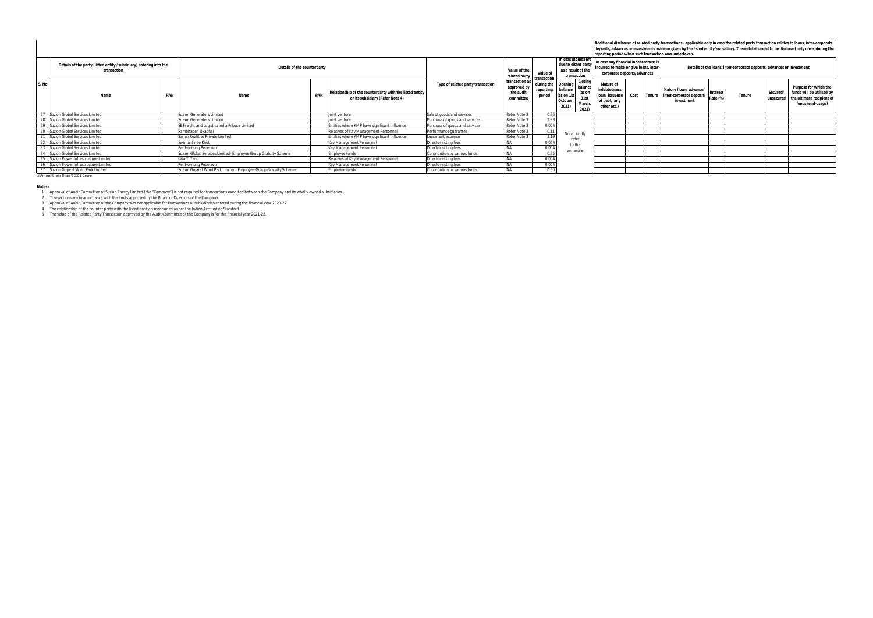| Details of the party (listed entity /subsidiary) entering into the<br>transaction |     | Details of the counterparty                                      |  |                                                                                             | Value of the<br>related party     | Value of                                                | In case monies are<br>due to either party<br>as a result of the<br>transaction |                                                                | In case any financial indebtedness is<br>incurred to make or give loans, inter-<br>corporate deposits, advances |                                                                             | Additional disclosure of related party transactions - applicable only in case the related party transaction relates to loans, inter-corporate<br>deposits, advances or investments made or given by the listed entity/subsidiary. These details need to be disclosed only once, during the<br>reporting period when such transaction was undertaken.<br>Details of the loans, inter-corporate deposits, advances or investment |                                                                                    |         |        |                       |                                                                                                      |
|-----------------------------------------------------------------------------------|-----|------------------------------------------------------------------|--|---------------------------------------------------------------------------------------------|-----------------------------------|---------------------------------------------------------|--------------------------------------------------------------------------------|----------------------------------------------------------------|-----------------------------------------------------------------------------------------------------------------|-----------------------------------------------------------------------------|--------------------------------------------------------------------------------------------------------------------------------------------------------------------------------------------------------------------------------------------------------------------------------------------------------------------------------------------------------------------------------------------------------------------------------|------------------------------------------------------------------------------------|---------|--------|-----------------------|------------------------------------------------------------------------------------------------------|
| Name                                                                              | PAN | Name                                                             |  | Relationship of the counterparty with the listed entity<br>or its subsidiary (Refer Note 4) | Type of related party transaction | transaction as<br>approved by<br>the audit<br>committee | transaction<br>reporting<br>period                                             | during the Opening<br>balance<br>(as on 1s<br>October<br>2021) | Closing<br>balance<br>(as on<br>31st<br>March<br>2022)                                                          | Nature of<br>indebtedness<br>(loan/issuance)<br>of debt/ any<br>other etc.) | Cost                                                                                                                                                                                                                                                                                                                                                                                                                           | Nature (Ioan/ advance/   Interest<br>Tenure inter-corporate deposit/<br>investment | Rate (% | Tenure | Secured/<br>unsecured | Purpose for which the<br>funds will be utilised by<br>the ultimate recipient of<br>funds (end-usage) |
| 77 Suzlon Global Services Limited                                                 |     | <b>Suzion Generators Limited</b>                                 |  | Joint venture                                                                               | Sale of goods and services        | Refer Note 3                                            | 0.36                                                                           |                                                                |                                                                                                                 |                                                                             |                                                                                                                                                                                                                                                                                                                                                                                                                                |                                                                                    |         |        |                       |                                                                                                      |
| 78 Suzlon Global Services Limited                                                 |     | <b>Suzion Generators Limited</b>                                 |  | loint venture                                                                               | Purchase of goods and services    | Refer Note 3                                            |                                                                                |                                                                |                                                                                                                 |                                                                             |                                                                                                                                                                                                                                                                                                                                                                                                                                |                                                                                    |         |        |                       |                                                                                                      |
| 79 Suzlon Global Services Limited                                                 |     | SE Freight and Logistics India Private Limited                   |  | Entities where KMP have significant influence                                               | Purchase of goods and services    | Refer Note 3                                            | 0.00#                                                                          |                                                                |                                                                                                                 |                                                                             |                                                                                                                                                                                                                                                                                                                                                                                                                                |                                                                                    |         |        |                       |                                                                                                      |
| 80 Suzlon Global Services Limited                                                 |     | Rambhaben Ukabhai                                                |  | Relatives of Key Management Personnel                                                       | Performance quarantee             | Refer Note 3                                            | 0.11                                                                           | Note: Kindly                                                   |                                                                                                                 |                                                                             |                                                                                                                                                                                                                                                                                                                                                                                                                                |                                                                                    |         |        |                       |                                                                                                      |
| 81 Suzlon Global Services Limited                                                 |     | Sarian Realities Private Limited                                 |  | Entities where KMP have significant influence                                               | Lease rent expense                | Refer Note 3                                            | 2.10                                                                           | refer                                                          |                                                                                                                 |                                                                             |                                                                                                                                                                                                                                                                                                                                                                                                                                |                                                                                    |         |        |                       |                                                                                                      |
| 82 Suzlon Global Services Limited                                                 |     | ieemantinee Khot                                                 |  | Key Management Personnel                                                                    | Director sitting fees             |                                                         | 0.00.                                                                          | to the                                                         |                                                                                                                 |                                                                             |                                                                                                                                                                                                                                                                                                                                                                                                                                |                                                                                    |         |        |                       |                                                                                                      |
| 83 Suzlon Global Services Limited                                                 |     | Per Hornung Pedersen                                             |  | Key Management Personnel                                                                    | Director sitting fees             | <b>NIA</b>                                              | 0.00#                                                                          | annexure                                                       |                                                                                                                 |                                                                             |                                                                                                                                                                                                                                                                                                                                                                                                                                |                                                                                    |         |        |                       |                                                                                                      |
| 84 Suzlon Global Services Limited                                                 |     | Suzlon Global Services Limited- Employee Group Gratuity Scheme   |  | Employee funds                                                                              | Contribution to various funds     | <b>NA</b>                                               | 0.75                                                                           |                                                                |                                                                                                                 |                                                                             |                                                                                                                                                                                                                                                                                                                                                                                                                                |                                                                                    |         |        |                       |                                                                                                      |
| 85 Suzion Power Infrastructure Limited                                            |     | Gita T. Tanti                                                    |  | Relatives of Key Management Personnel                                                       | Director sitting fees             | <b>NA</b>                                               | 0.00#                                                                          |                                                                |                                                                                                                 |                                                                             |                                                                                                                                                                                                                                                                                                                                                                                                                                |                                                                                    |         |        |                       |                                                                                                      |
| 86 Suzion Power Infrastructure Limited                                            |     | Per Hornung Pedersen                                             |  | Key Management Personnel                                                                    | Director sitting fees             |                                                         | 0.00#                                                                          |                                                                |                                                                                                                 |                                                                             |                                                                                                                                                                                                                                                                                                                                                                                                                                |                                                                                    |         |        |                       |                                                                                                      |
| 87 Suzlon Gujarat Wind Park Limited                                               |     | Suzlon Gujarat Wind Park Limited- Employee Group Gratuity Scheme |  | Employee funds                                                                              | Contribution to various funds     | NA                                                      | 0.50                                                                           |                                                                |                                                                                                                 |                                                                             |                                                                                                                                                                                                                                                                                                                                                                                                                                |                                                                                    |         |        |                       |                                                                                                      |

# Amount less than ₹ 0.01 Crore

Notes -<br>
1 Approval of Audit Committee of Suzlon Energy Limited (the "Company") is not required for transactions executed between the Company and its wholly owned subsidiaries.<br>
2 Transactions are in accordance with the li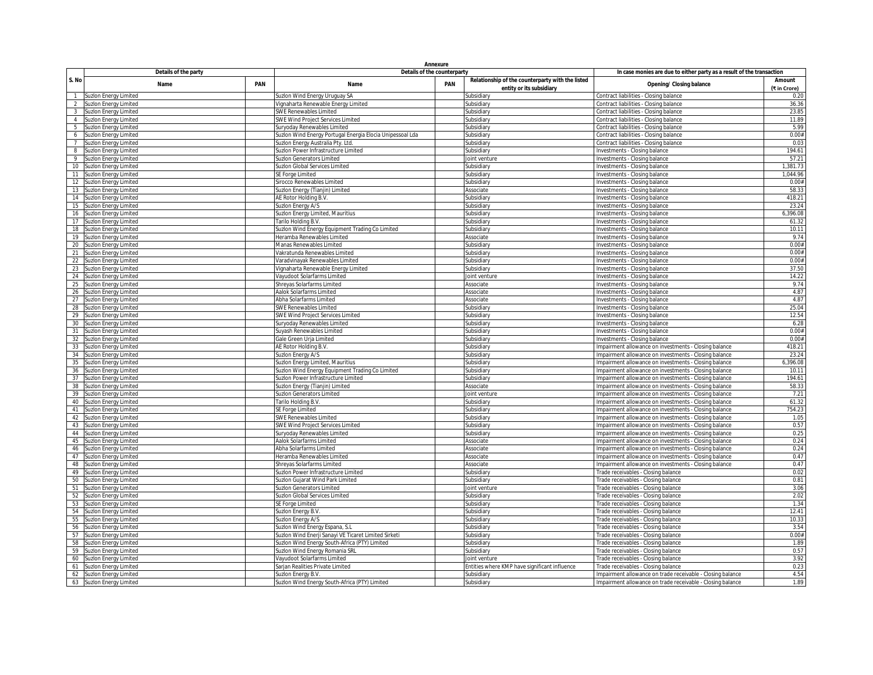|                |                                                |     | Annexure                                                                |                                                                       |                                                                              |                                                                                                               |                        |  |
|----------------|------------------------------------------------|-----|-------------------------------------------------------------------------|-----------------------------------------------------------------------|------------------------------------------------------------------------------|---------------------------------------------------------------------------------------------------------------|------------------------|--|
|                | Details of the party                           |     | Details of the counterparty                                             | In case monies are due to either party as a result of the transaction |                                                                              |                                                                                                               |                        |  |
| S. No          | Name                                           | PAN | Name                                                                    | <b>PAN</b>                                                            | Relationship of the counterparty with the listed<br>entity or its subsidiary | <b>Opening/ Closing balance</b>                                                                               | Amount<br>(₹ in Crore) |  |
|                | Suzlon Energy Limited                          |     | Suzlon Wind Energy Uruguay SA                                           |                                                                       | Subsidiary                                                                   | Contract liabilities - Closing balance                                                                        | 0.20                   |  |
| 2              | Suzlon Energy Limited                          |     | Vignaharta Renewable Energy Limited                                     |                                                                       | Subsidiary                                                                   | Contract liabilities - Closing balance                                                                        | 36.36                  |  |
| $\overline{3}$ | Suzlon Energy Limited                          |     | SWE Renewables Limited                                                  |                                                                       | Subsidiary                                                                   | Contract liabilities - Closing balance                                                                        | 23.85                  |  |
| $\overline{4}$ | Suzlon Energy Limited                          |     | SWE Wind Project Services Limited                                       |                                                                       | Subsidiary                                                                   | Contract liabilities - Closing balance                                                                        | 11.89                  |  |
| 5              | Suzion Energy Limited                          |     | Suryoday Renewables Limited                                             |                                                                       | Subsidiary                                                                   | Contract liabilities - Closing balance                                                                        | 5.99                   |  |
| 6              | Suzion Energy Limited                          |     | Suzlon Wind Energy Portugal Energia Elocia Unipessoal Lda               |                                                                       | Subsidiary<br>Subsidiary                                                     | Contract liabilities - Closing balance<br>Contract liabilities - Closing balance                              | 0.00#<br>0.03          |  |
| 8              | Suzlon Energy Limited<br>Suzion Energy Limited |     | Suzlon Energy Australia Pty. Ltd<br>Suzion Power Infrastructure Limited |                                                                       | Subsidiary                                                                   | Investments - Closing balance                                                                                 | 194.61                 |  |
| 9              | Suzion Energy Limited                          |     | Suzlon Generators Limited                                               |                                                                       | Joint venture                                                                | nvestments - Closing balance                                                                                  | 57.21                  |  |
| 10             | Suzion Energy Limited                          |     | Suzlon Global Services Limited                                          |                                                                       | Subsidiary                                                                   | nvestments - Closing balance                                                                                  | 1,381.73               |  |
| 11             | Suzlon Energy Limited                          |     | SE Forge Limited                                                        |                                                                       | Subsidiary                                                                   | Investments - Closing balance                                                                                 | 1,044.96               |  |
| 12             | Suzion Energy Limited                          |     | Sirocco Renewables Limited                                              |                                                                       | Subsidiary                                                                   | Investments - Closing balance                                                                                 | 0.00#                  |  |
|                | 13 Suzlon Energy Limited                       |     | Suzlon Energy (Tianjin) Limited                                         |                                                                       | Associate                                                                    | Investments - Closing balance                                                                                 | 58.33                  |  |
| 14             | Suzlon Energy Limited                          |     | AE Rotor Holding B.V.                                                   |                                                                       | Subsidiary                                                                   | Investments - Closing balance                                                                                 | 418.21                 |  |
| 15             | Suzlon Energy Limited                          |     | Suzlon Energy A/S                                                       |                                                                       | Subsidiary                                                                   | nvestments - Closing balance                                                                                  | 23.24                  |  |
| 16             | Suzlon Energy Limited                          |     | Suzlon Energy Limited, Mauritius                                        |                                                                       | Subsidiary                                                                   | Investments - Closing balance                                                                                 | 6,396.08               |  |
| 17             | Suzion Energy Limited                          |     | Tarilo Holding B.V                                                      |                                                                       | Subsidiary                                                                   | nvestments - Closing balance                                                                                  | 61.32                  |  |
|                | 18 Suzlon Energy Limited                       |     | Suzlon Wind Energy Equipment Trading Co Limited                         |                                                                       | Subsidiary                                                                   | Investments - Closing balance                                                                                 | 10.11                  |  |
| 19             | <b>Suzion Energy Limited</b>                   |     | Heramba Renewables Limited                                              |                                                                       | Associate                                                                    | nvestments - Closing balance                                                                                  | 9.74                   |  |
| 20             | Suzlon Energy Limited                          |     | Manas Renewables Limited                                                |                                                                       | Subsidiary                                                                   | nvestments - Closing balance                                                                                  | 0.00#                  |  |
|                | 21 Suzlon Energy Limited                       |     | Vakratunda Renewables Limited                                           |                                                                       | Subsidiary                                                                   | Investments - Closing balance                                                                                 | 0.00#                  |  |
| 22             | Suzlon Energy Limited                          |     | Varadvinayak Renewables Limited                                         |                                                                       | Subsidiary                                                                   | nvestments - Closing balance                                                                                  | 0.00#                  |  |
| 23             | Suzlon Energy Limited                          |     | Vignaharta Renewable Energy Limited                                     |                                                                       | Subsidiary                                                                   | Investments - Closing balance                                                                                 | 37.50                  |  |
| 24             | Suzion Energy Limited                          |     | Vayudoot Solarfarms Limited                                             |                                                                       | loint venture                                                                | Investments - Closing balance                                                                                 | 14.22                  |  |
| 25             | Suzion Energy Limited                          |     | Shreyas Solarfarms Limited                                              |                                                                       | Associate                                                                    | Investments - Closing balance                                                                                 | 9.74                   |  |
| 26             | <b>Suzion Energy Limited</b>                   |     | Aalok Solarfarms Limited                                                |                                                                       | Associate                                                                    | Investments - Closing balance                                                                                 | 4.87                   |  |
|                | 27 Suzlon Energy Limited                       |     | Abha Solarfarms Limited                                                 |                                                                       | Associate                                                                    | Investments - Closing balance                                                                                 | 4.87                   |  |
| 28<br>29       | Suzlon Energy Limited                          |     | SWE Renewables Limited<br>SWE Wind Project Services Limited             |                                                                       | Subsidiary                                                                   | nvestments - Closing balance                                                                                  | 25.04<br>12.54         |  |
| 30             | Suzion Energy Limited                          |     |                                                                         |                                                                       | Subsidiary<br>Subsidiarv                                                     | nvestments - Closing balance<br>nvestments - Closing balance                                                  | 6.28                   |  |
| 31             | Suzlon Energy Limited<br>Suzlon Energy Limited |     | Suryoday Renewables Limited<br>uyash Renewables Limited                 |                                                                       | Subsidiary                                                                   | nvestments - Closing balance                                                                                  | 0.00#                  |  |
| 32             | Suzlon Energy Limited                          |     | Gale Green Urja Limited                                                 |                                                                       | Subsidiary                                                                   | Investments - Closing balance                                                                                 | 0.00#                  |  |
| 33             | <b>Suzion Energy Limited</b>                   |     | AE Rotor Holding B.V.                                                   |                                                                       | Subsidiary                                                                   | Impairment allowance on investments - Closing balance                                                         | 418.21                 |  |
| 34             | Suzion Energy Limited                          |     | Suzlon Energy A/S                                                       |                                                                       | Subsidiary                                                                   | Impairment allowance on investments - Closing balance                                                         | 23.24                  |  |
| 35             | Suzlon Energy Limited                          |     | Suzlon Energy Limited, Mauritius                                        |                                                                       | Subsidiary                                                                   | Impairment allowance on investments - Closing balance                                                         | 6,396.08               |  |
| 36             | Suzion Energy Limited                          |     | Suzlon Wind Energy Equipment Trading Co Limited                         |                                                                       | Subsidiary                                                                   | Impairment allowance on investments - Closing balance                                                         | 10.11                  |  |
| 37             | Suzlon Energy Limited                          |     | Suzion Power Infrastructure Limited                                     |                                                                       | Subsidiary                                                                   | Impairment allowance on investments - Closing balance                                                         | 194.61                 |  |
| 38             | Suzion Energy Limited                          |     | Suzlon Energy (Tianjin) Limited                                         |                                                                       | Associate                                                                    | Impairment allowance on investments - Closing balance                                                         | 58.33                  |  |
| 39             | Suzlon Energy Limited                          |     | Suzlon Generators Limited                                               |                                                                       | Joint venture                                                                | Impairment allowance on investments - Closing balance                                                         | 7.21                   |  |
| 40             | Suzion Energy Limited                          |     | Tarilo Holding B.V                                                      |                                                                       | Subsidiary                                                                   | mpairment allowance on investments - Closing balance                                                          | 61.32                  |  |
|                | 41 Suzlon Energy Limited                       |     | SE Forge Limited                                                        |                                                                       | Subsidiary                                                                   | Impairment allowance on investments - Closing balance                                                         | 754.23                 |  |
| 42             | Suzion Energy Limited                          |     | SWE Renewables Limited                                                  |                                                                       | Subsidiary                                                                   | Impairment allowance on investments - Closing balance                                                         | 1.05                   |  |
| 43             | Suzion Energy Limited                          |     | SWE Wind Project Services Limited                                       |                                                                       | Subsidiary                                                                   | Impairment allowance on investments - Closing balance                                                         | 0.57                   |  |
| 44             | Suzion Energy Limited                          |     | Suryoday Renewables Limited                                             |                                                                       | Subsidiary                                                                   | Impairment allowance on investments - Closing balance                                                         | 0.25                   |  |
| 45             | Suzion Energy Limited                          |     | Aalok Solarfarms Limited                                                |                                                                       | Associate                                                                    | Impairment allowance on investments - Closing balance                                                         | 0.24                   |  |
| 47             | 46 Suzlon Energy Limited                       |     | Abha Solarfarms Limited<br>Heramba Renewables Limited                   |                                                                       | Associate<br>Associate                                                       | Impairment allowance on investments - Closing balance                                                         | 0.24<br>0.47           |  |
| 48             | Suzlon Energy Limited<br>Suzlon Energy Limited |     | Shreyas Solarfarms Limited                                              |                                                                       | Associate                                                                    | Impairment allowance on investments - Closing balance<br>mpairment allowance on investments - Closing balance | 0.47                   |  |
| 49             | Suzlon Energy Limited                          |     | iuzion Power Infrastructure Limited                                     |                                                                       | Subsidiary                                                                   | Trade receivables - Closing balance                                                                           | 0.02                   |  |
| 50             | Suzion Energy Limited                          |     | Suzlon Gujarat Wind Park Limited                                        |                                                                       | Subsidiary                                                                   | Trade receivables - Closing balance                                                                           | 0.81                   |  |
| 51             | Suzlon Energy Limited                          |     | Suzlon Generators Limited                                               |                                                                       | Joint venture                                                                | Trade receivables - Closing balance                                                                           | 3.06                   |  |
| 52             | Suzlon Energy Limited                          |     | Suzlon Global Services Limited                                          |                                                                       | Subsidiary                                                                   | Trade receivables - Closing balance                                                                           | 2.02                   |  |
| 53             | Suzlon Energy Limited                          |     | SE Forge Limited                                                        |                                                                       | Subsidiary                                                                   | Trade receivables - Closing balance                                                                           | 1.34                   |  |
| 54             | Suzion Energy Limited                          |     | Suzlon Energy B.V.                                                      |                                                                       | Subsidiary                                                                   | Trade receivables - Closing balance                                                                           | 12.41                  |  |
| 55             | Suzlon Energy Limited                          |     | Suzion Energy A/S                                                       |                                                                       | Subsidiary                                                                   | Trade receivables - Closing balance                                                                           | 10.33                  |  |
| 56             | Suzion Energy Limited                          |     | Suzlon Wind Energy Espana, S.L                                          |                                                                       | Subsidiary                                                                   | Trade receivables - Closing balance                                                                           | 3.54                   |  |
| 57             | Suzion Energy Limited                          |     | Suzlon Wind Enerji Sanayi VE Ticaret Limited Sirketi                    |                                                                       | Subsidiary                                                                   | Trade receivables - Closing balance                                                                           | 0.00#                  |  |
| 58             | Suzion Energy Limited                          |     | uzlon Wind Energy South-Africa (PTY) Limited                            |                                                                       | Subsidiary                                                                   | Trade receivables - Closing balance                                                                           | 1.89                   |  |
|                | 59 Suzlon Energy Limited                       |     | Suzlon Wind Energy Romania SRL                                          |                                                                       | Subsidiary                                                                   | Trade receivables - Closing balance                                                                           | 0.57                   |  |
|                | 60 Suzlon Energy Limited                       |     | Vayudoot Solarfarms Limited                                             |                                                                       | Joint venture                                                                | Trade receivables - Closing balance                                                                           | 3.92                   |  |
| 61             | <b>Suzion Energy Limited</b>                   |     | Sarjan Realities Private Limited                                        |                                                                       | Entities where KMP have significant influence                                | Trade receivables - Closing balance                                                                           | 0.23                   |  |
| 62             | Suzlon Energy Limited                          |     | Suzion Energy B.V.                                                      |                                                                       | Subsidiary                                                                   | Impairment allowance on trade receivable - Closing balance                                                    | 4.54                   |  |
|                | 63 Suzlon Energy Limited                       |     | Suzlon Wind Energy South-Africa (PTY) Limited                           |                                                                       | Subsidiary                                                                   | Impairment allowance on trade receivable - Closing balance                                                    | 1.89                   |  |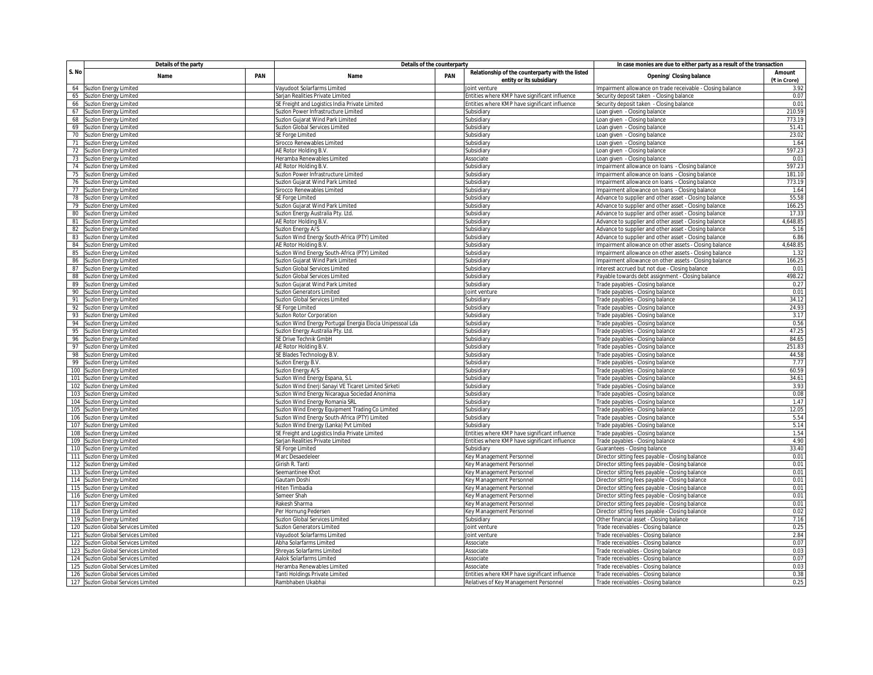|       | Details of the party               |  | Details of the counterparty                               | In case monies are due to either party as a result of the transaction |                                                  |                                                                      |              |  |
|-------|------------------------------------|--|-----------------------------------------------------------|-----------------------------------------------------------------------|--------------------------------------------------|----------------------------------------------------------------------|--------------|--|
| S. No | PAN<br>Name                        |  | Name                                                      | PAN                                                                   | Relationship of the counterparty with the listed | <b>Opening/ Closing balance</b>                                      | Amount       |  |
|       |                                    |  |                                                           |                                                                       | entity or its subsidiary                         |                                                                      | (₹ in Crore) |  |
| 64    | Suzlon Energy Limited              |  | Vayudoot Solarfarms Limited                               |                                                                       | loint venture                                    | Impairment allowance on trade receivable - Closing balance           | 3.92         |  |
| 65    | Suzion Energy Limited              |  | Sarjan Realities Private Limited                          |                                                                       | Entities where KMP have significant influence    | Security deposit taken - Closing balance                             | 0.07         |  |
| 66    | Suzlon Energy Limited              |  | SE Freight and Logistics India Private Limited            |                                                                       | Entities where KMP have significant influence    | Security deposit taken - Closing balance                             | 0.01         |  |
| 67    | Suzlon Energy Limited              |  | Suzion Power Infrastructure Limited                       |                                                                       | Subsidiary                                       | Loan given - Closing balance                                         | 210.59       |  |
| 68    | Suzion Energy Limited              |  | Suzlon Gujarat Wind Park Limited                          |                                                                       | Subsidiary                                       | Loan given - Closing balance                                         | 773.19       |  |
| 69    | Suzion Energy Limited              |  | Suzlon Global Services Limited                            |                                                                       | Subsidiary                                       | Loan given - Closing balance                                         | 51.41        |  |
| 70    | Suzion Energy Limited              |  | SE Forge Limited                                          |                                                                       | Subsidiary                                       | Loan given - Closing balance                                         | 23.02        |  |
| 71    | Suzlon Energy Limited              |  | Sirocco Renewables Limited                                |                                                                       | Subsidian                                        | Loan given - Closing balance                                         | 1.64         |  |
| 72    | Suzlon Energy Limited              |  | AE Rotor Holding B.V                                      |                                                                       | Subsidiary                                       | oan given - Closing balance                                          | 597.23       |  |
| 73    | Suzlon Energy Limited              |  | Heramba Renewables Limited                                |                                                                       | <b>Associate</b>                                 | oan given - Closing balance                                          | 0.01         |  |
| 74    | Suzion Energy Limited              |  | AE Rotor Holding B.V.                                     |                                                                       | Subsidiary                                       | Impairment allowance on loans - Closing balance                      | 597.23       |  |
| 75    | Suzion Energy Limited              |  | Suzion Power Infrastructure Limited                       |                                                                       | Subsidian                                        | Impairment allowance on loans - Closing balance                      | 181.10       |  |
| 76    | Suzlon Energy Limited              |  | Suzlon Gujarat Wind Park Limited                          |                                                                       | Subsidiary                                       | Impairment allowance on loans - Closing balance                      | 773.19       |  |
| 77    | Suzion Energy Limited              |  | Sirocco Renewables Limited                                |                                                                       | <b>ubsidiary</b>                                 | Impairment allowance on loans - Closing balance                      | 1.64         |  |
| 78    | Suzion Energy Limited              |  | SE Forge Limited                                          |                                                                       | Subsidiary                                       | Advance to supplier and other asset - Closing balance                | 55.58        |  |
| 79    | Suzion Energy Limited              |  | Suzlon Gujarat Wind Park Limited                          |                                                                       | Subsidian                                        | Advance to supplier and other asset - Closing balance                | 166.25       |  |
| 80    | Suzion Energy Limited              |  | Suzlon Energy Australia Pty. Ltd.                         |                                                                       | Subsidiary                                       | Advance to supplier and other asset - Closing balance                | 17.33        |  |
| 81    | Suzion Energy Limited              |  | AE Rotor Holding B.V                                      |                                                                       | Subsidiary                                       | Advance to supplier and other asset - Closing balance                | 4,648.85     |  |
|       | 82 Suzlon Energy Limited           |  | Suzion Energy A/S                                         |                                                                       | Subsidiary                                       | Advance to supplier and other asset - Closing balance                | 5.16         |  |
| 83    | <b>Suzion Energy Limited</b>       |  | Suzlon Wind Energy South-Africa (PTY) Limited             |                                                                       | Subsidiary                                       | Advance to supplier and other asset - Closing balance                | 6.86         |  |
| 84    | Suzlon Energy Limited              |  | AE Rotor Holding B.V                                      |                                                                       | Subsidiary                                       | Impairment allowance on other assets - Closing balance               | 4,648.85     |  |
| 85    | Suzlon Energy Limited              |  | Suzlon Wind Energy South-Africa (PTY) Limited             |                                                                       | Subsidiary                                       | Impairment allowance on other assets - Closing balance               | 1.32         |  |
| 86    | Suzlon Energy Limited              |  | Suzlon Gujarat Wind Park Limited                          |                                                                       | Subsidiary                                       | Impairment allowance on other assets - Closing balance               | 166.25       |  |
| 87    | <b>Suzlon Energy Limited</b>       |  | Suzlon Global Services Limited                            |                                                                       | Subsidiary                                       | Interest accrued but not due - Closing balance                       | 0.01         |  |
| 88    | Suzlon Energy Limited              |  | iuzion Global Services Limited                            |                                                                       | Subsidiary                                       | Payable towards debt assignment - Closing balance                    | 498.22       |  |
| 89    | uzlon Energy Limited               |  | uzlon Gujarat Wind Park Limited                           |                                                                       | <b>ubsidiary</b>                                 | Trade payables - Closing balance                                     | 0.27         |  |
| 90    | Suzion Energy Limited              |  | Suzlon Generators Limited                                 |                                                                       | loint venture                                    | Trade payables - Closing balance                                     | 0.01         |  |
| 91    | Suzion Energy Limited              |  | Suzlon Global Services Limited                            |                                                                       | Subsidiary                                       | Trade payables - Closing balance                                     | 34.12        |  |
| 92    | uzlon Energy Limited               |  | SE Forge Limited                                          |                                                                       | Subsidiary                                       | Trade payables - Closing balance                                     | 24.93        |  |
| 93    | Suzion Energy Limited              |  | Suzlon Rotor Corporation                                  |                                                                       | Subsidiary                                       | Trade payables - Closing balance                                     | 3.17         |  |
| 94    | Suzion Energy Limited              |  | Suzlon Wind Energy Portugal Energia Elocia Unipessoal Lda |                                                                       | Subsidiary                                       | Trade payables - Closing balance                                     | 0.56         |  |
| 95    | Suzlon Energy Limited              |  | Suzlon Energy Australia Pty. Ltd.                         |                                                                       | Subsidiary                                       | Trade payables - Closing balance                                     | 47.25        |  |
| 96    | Suzlon Energy Limited              |  | SE Drive Technik GmbH                                     |                                                                       | Subsidian                                        | Trade payables - Closing balance                                     | 84.65        |  |
| 97    | Suzlon Energy Limited              |  | AE Rotor Holding B.V                                      |                                                                       | Subsidiary                                       |                                                                      | 251.83       |  |
| 98    | Suzlon Energy Limited              |  | SE Blades Technology B.V.                                 |                                                                       | <b>ubsidiary</b>                                 | Trade payables - Closing balance<br>Trade payables - Closing balance | 44.58        |  |
| 99    | Suzlon Energy Limited              |  | Suzion Energy B.V                                         |                                                                       | Subsidiary                                       |                                                                      | 7.77         |  |
| 100   |                                    |  |                                                           |                                                                       |                                                  | Trade payables - Closing balance                                     | 60.59        |  |
|       | <b>Suzlon Energy Limited</b>       |  | Suzlon Energy A/S                                         |                                                                       | Subsidiary                                       | Trade payables - Closing balance                                     |              |  |
| 101   | Suzion Energy Limited              |  | Suzlon Wind Energy Espana, S.L.                           |                                                                       | Subsidiary                                       | Trade payables - Closing balance                                     | 34.61        |  |
| 102   | Suzion Energy Limited              |  | Suzlon Wind Enerji Sanayi VE Ticaret Limited Sirketi      |                                                                       | Subsidiary                                       | Trade payables - Closing balance                                     | 3.93         |  |
|       | 103 Suzlon Energy Limited          |  | Suzlon Wind Energy Nicaragua Sociedad Anonima             |                                                                       | Subsidiary                                       | Trade payables - Closing balance                                     | 0.08         |  |
|       | 104 Suzlon Energy Limited          |  | Suzlon Wind Energy Romania SRL                            |                                                                       | Subsidian                                        | Trade payables - Closing balance                                     | 1.47         |  |
| 105   | Suzlon Energy Limited              |  | Suzlon Wind Energy Equipment Trading Co Limited           |                                                                       | Subsidian                                        | Trade payables - Closing balance                                     | 12.05        |  |
| 106   | Suzion Energy Limited              |  | Suzlon Wind Energy South-Africa (PTY) Limited             |                                                                       | Subsidiary                                       | Trade payables - Closing balance                                     | 5.54         |  |
|       | 107 Suzlon Energy Limited          |  | Suzlon Wind Energy (Lanka) Pvt Limited                    |                                                                       | Subsidiary                                       | Trade payables - Closing balance                                     | 5.14         |  |
| 108   | Suzion Energy Limited              |  | SE Freight and Logistics India Private Limited            |                                                                       | Entities where KMP have significant influence    | Trade payables - Closing balance                                     | 1.54         |  |
| 109   | Suzion Energy Limited              |  | Sarjan Realities Private Limited                          |                                                                       | Entities where KMP have significant influence    | Trade payables - Closing balance                                     | 4.90         |  |
|       | 110 Suzlon Energy Limited          |  | SE Forge Limited                                          |                                                                       | Subsidiary                                       | Guarantees - Closing balance                                         | 33.40        |  |
|       | 111 Suzlon Energy Limited          |  | Marc Desaedeleer                                          |                                                                       | <b>Key Management Personnel</b>                  | Director sitting fees payable - Closing balance                      | 0.01         |  |
|       | 112 Suzlon Energy Limited          |  | Girish R. Tanti                                           |                                                                       | Key Management Personnel                         | Director sitting fees payable - Closing balance                      | 0.01         |  |
| 113   | Suzlon Energy Limited              |  | Seemantinee Khot                                          |                                                                       | Key Management Personnel                         | Director sitting fees payable - Closing balance                      | 0.01         |  |
|       | 114 Suzlon Energy Limited          |  | Gautam Doshi                                              |                                                                       | Key Management Personnel                         | Director sitting fees payable - Closing balance                      | 0.01         |  |
| 115   | Suzion Energy Limited              |  | Hiten Timbadia                                            |                                                                       | Gey Management Personnel                         | Director sitting fees payable - Closing balance                      | 0.01         |  |
|       | 116 Suzlon Energy Limited          |  | Sameer Shah                                               |                                                                       | Key Management Personnel                         | Director sitting fees payable - Closing balance                      | 0.01         |  |
| 117   | Suzion Energy Limited              |  | Rakesh Sharma                                             |                                                                       | Key Management Personnel                         | Director sitting fees payable - Closing balance                      | 0.01         |  |
| 118   | Suzlon Energy Limited              |  | Per Hornung Pedersen                                      |                                                                       | Key Management Personnel                         | Director sitting fees payable - Closing balance                      | 0.02         |  |
|       | 119 Suzlon Energy Limited          |  | Suzlon Global Services Limited                            |                                                                       | Subsidiary                                       | Other financial asset - Closing balance                              | 7.16         |  |
|       | 120 Suzlon Global Services Limited |  | Suzion Generators Limited                                 |                                                                       | Joint venture                                    | Trade receivables - Closing balance                                  | 0.25         |  |
|       | 121 Suzlon Global Services Limited |  | Vayudoot Solarfarms Limited                               |                                                                       | Joint venture                                    | Trade receivables - Closing balance                                  | 2.84         |  |
| 122   | Suzion Global Services Limited     |  | Abha Solarfarms Limited                                   |                                                                       | Associate                                        | Trade receivables - Closing balance                                  | 0.07         |  |
| 123   | Suzlon Global Services Limited     |  | Shreyas Solarfarms Limited                                |                                                                       | Associate                                        | Trade receivables - Closing balance                                  | 0.03         |  |
|       | 124 Suzlon Global Services Limited |  | Aalok Solarfarms Limited                                  |                                                                       | Associate                                        | Trade receivables - Closing balance                                  | 0.07         |  |
|       | 125 Suzlon Global Services Limited |  | Heramba Renewables Limited                                |                                                                       | Associate                                        | Trade receivables - Closing balance                                  | 0.03         |  |
|       | 126 Suzlon Global Services Limited |  | Tanti Holdings Private Limited                            |                                                                       | Entities where KMP have significant influence    | Trade receivables - Closing balance                                  | 0.38         |  |
|       | 127 Suzlon Global Services Limited |  | Rambhaben Ukabhai                                         |                                                                       | Relatives of Key Management Personnel            | Trade receivables - Closing balance                                  | 0.25         |  |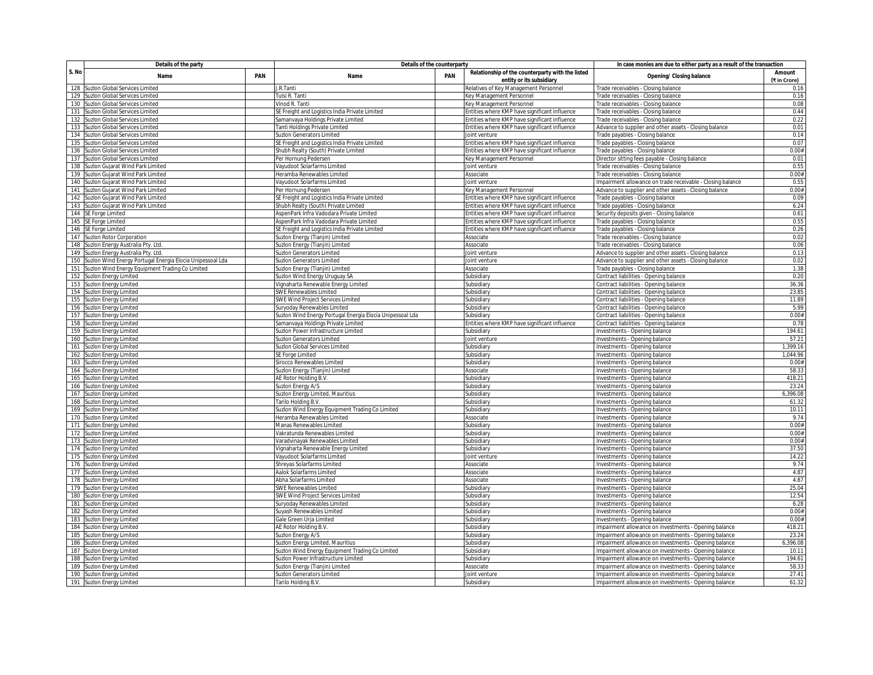|       | Details of the party                                          |     | Details of the counterparty                               | In case monies are due to either party as a result of the transaction |                                                  |                                                            |              |
|-------|---------------------------------------------------------------|-----|-----------------------------------------------------------|-----------------------------------------------------------------------|--------------------------------------------------|------------------------------------------------------------|--------------|
| S. No | Name                                                          | PAN | Name                                                      | PAN                                                                   | Relationship of the counterparty with the listed | Opening/ Closing balance                                   | Amount       |
|       |                                                               |     |                                                           |                                                                       | entity or its subsidiary                         |                                                            | (₹ in Crore) |
|       | 128 Suzlon Global Services Limited                            |     | J.R.Tanti                                                 |                                                                       | Relatives of Key Management Personnel            | Trade receivables - Closing balance                        | 0.16         |
|       | 129 Suzlon Global Services Limited                            |     | Tulsi R. Tanti                                            |                                                                       | <b>Cey Management Personnel</b>                  | Trade receivables - Closing balance                        | 0.16         |
|       | 130 Suzlon Global Services Limited                            |     | Vinod R. Tanti                                            |                                                                       | Key Management Personnel                         | Trade receivables - Closing balance                        | 0.08         |
| 131   | Suzlon Global Services Limited                                |     | SE Freight and Logistics India Private Limited            |                                                                       | Entities where KMP have significant influence    | Trade receivables - Closing balance                        | 0.44         |
|       | 132 Suzlon Global Services Limited                            |     | Samanvaya Holdings Private Limited                        |                                                                       | Entities where KMP have significant influence    | Trade receivables - Closing balance                        | 0.22         |
|       | 133 Suzlon Global Services Limited                            |     | Tanti Holdings Private Limited                            |                                                                       | Intities where KMP have significant influence    | Advance to supplier and other assets - Closing balance     | 0.01         |
|       | 134 Suzlon Global Services Limited                            |     | <b>Suzion Generators Limited</b>                          |                                                                       | Joint venture                                    | Trade payables - Closing balance                           | 0.14         |
| 135   | Suzlon Global Services Limited                                |     | SE Freight and Logistics India Private Limited            |                                                                       | Entities where KMP have significant influence    | Trade payables - Closing balance                           | 0.07         |
| 136   | Suzlon Global Services Limited                                |     | Shubh Realty (South) Private Limited                      |                                                                       | Entities where KMP have significant influence    | Trade payables - Closing balance                           | 0.00#        |
|       | 137 Suzlon Global Services Limited                            |     | Per Hornung Pedersen                                      |                                                                       | Key Management Personnel                         | Director sitting fees payable - Closing balance            | 0.01         |
|       | 138 Suzlon Gujarat Wind Park Limited                          |     | Vayudoot Solarfarms Limited                               |                                                                       | Joint venture                                    | Trade receivables - Closing balance                        | 0.55         |
|       | 139 Suzlon Gujarat Wind Park Limited                          |     | Heramba Renewables Limited                                |                                                                       | Associate                                        | Trade receivables - Closing balance                        | 0.00#        |
|       | 140 Suzlon Gujarat Wind Park Limited                          |     | Vayudoot Solarfarms Limited                               |                                                                       | Joint venture                                    | Impairment allowance on trade receivable - Closing balance | 0.55         |
|       | 141 Suzlon Gujarat Wind Park Limited                          |     | Per Hornung Pedersen                                      |                                                                       | Key Management Personnel                         | Advance to supplier and other assets - Closing balance     | 0.00#        |
|       | 142 Suzlon Gujarat Wind Park Limited                          |     | SE Freight and Logistics India Private Limited            |                                                                       | Entities where KMP have significant influence    | Trade payables - Closing balance                           | 0.09         |
|       | 143 Suzlon Gujarat Wind Park Limited                          |     | Shubh Realty (South) Private Limited                      |                                                                       | Entities where KMP have significant influence    | Trade payables - Closing balance                           | 6.24         |
|       | 144 SE Forge Limited                                          |     | AspenPark Infra Vadodara Private Limited                  |                                                                       | Entities where KMP have significant influence    | Security deposits given - Closing balance                  | 0.61         |
|       | 145 SE Forge Limited                                          |     | AspenPark Infra Vadodara Private Limited                  |                                                                       | Entities where KMP have significant influence    | Frade payables - Closing balance                           | 0.55         |
|       | 146 SE Forge Limited                                          |     | SE Freight and Logistics India Private Limited            |                                                                       | Intities where KMP have significant influence    | Trade payables - Closing balance                           | 0.26         |
|       | 147 Suzlon Rotor Corporation                                  |     | Suzlon Energy (Tianjin) Limited                           |                                                                       | Associate                                        | Trade receivables - Closing balance                        | 0.02         |
|       | 148 Suzlon Energy Australia Pty. Ltd                          |     | Suzlon Energy (Tianjin) Limited                           |                                                                       | Associate                                        | Trade receivables - Closing balance                        | 0.06         |
|       | 149 Suzlon Energy Australia Pty. Ltd                          |     | Suzlon Generators Limited                                 |                                                                       | Joint venture                                    | Advance to supplier and other assets - Closing balance     | 0.13         |
|       | 150 Suzlon Wind Energy Portugal Energia Elocia Unipessoal Lda |     | Suzlon Generators Limited                                 |                                                                       | oint venture                                     | Advance to supplier and other assets - Closing balance     | 0.02         |
|       | 151 Suzlon Wind Energy Equipment Trading Co Limited           |     | Suzlon Energy (Tianjin) Limited                           |                                                                       | Associate                                        | Trade payables - Closing balance                           | 1.38         |
|       | 152 Suzlon Energy Limited                                     |     | Suzlon Wind Energy Uruguay SA                             |                                                                       | Subsidiary                                       | Contract liabilities - Opening balance                     | 0.20         |
|       | 153 Suzlon Energy Limited                                     |     | Vignaharta Renewable Energy Limited                       |                                                                       | Subsidiary                                       | Contract liabilities - Opening balance                     | 36.36        |
|       | 154 Suzlon Energy Limited                                     |     | <b>SWE Renewables Limited</b>                             |                                                                       | Subsidiary                                       | Contract liabilities - Opening balance                     | 23.85        |
|       | 155 Suzlon Energy Limited                                     |     | SWE Wind Project Services Limited                         |                                                                       | Subsidiary                                       | Contract liabilities - Opening balance                     | 11.89        |
|       | 156 Suzlon Energy Limited                                     |     | Suryoday Renewables Limited                               |                                                                       | Subsidiary                                       | Contract liabilities - Opening balance                     | 5.99         |
| 157   | Suzion Energy Limited                                         |     | Suzlon Wind Energy Portugal Energia Elocia Unipessoal Lda |                                                                       | Subsidiary                                       | Contract liabilities - Opening balance                     | 0.00#        |
|       | 158 Suzlon Energy Limited                                     |     | Samanvaya Holdings Private Limited                        |                                                                       | Entities where KMP have significant influence    | Contract liabilities - Opening balance                     | 0.78         |
|       | 159 Suzlon Energy Limited                                     |     | Suzion Power Infrastructure Limited                       |                                                                       | Subsidiary                                       | Investments - Opening balance                              | 194.61       |
|       | 160 Suzlon Energy Limited                                     |     | <b>Suzion Generators Limited</b>                          |                                                                       | Joint venture                                    | Investments - Opening balance                              | 57.21        |
| 161   | Suzlon Energy Limited                                         |     | Suzlon Global Services Limited                            |                                                                       | Subsidiary                                       | Investments - Opening balance                              | 1,399.16     |
|       | 162 Suzlon Energy Limited                                     |     | SE Forge Limited                                          |                                                                       | Subsidiary                                       | Investments - Opening balance                              | 1,044.96     |
|       | 163 Suzlon Energy Limited                                     |     | Sirocco Renewables Limited                                |                                                                       | iubsidiary                                       | Investments - Opening balance                              | 0.00#        |
|       | 164 Suzlon Energy Limited                                     |     | Suzlon Energy (Tianjin) Limited                           |                                                                       | Associate                                        | Investments - Opening balance                              | 58.33        |
|       | 165 Suzlon Energy Limited                                     |     | AE Rotor Holding B.V.                                     |                                                                       | Subsidiary                                       | Investments - Opening balance                              | 418.21       |
|       | 166 Suzlon Energy Limited                                     |     | Suzion Energy A/S                                         |                                                                       | Subsidiary                                       | Investments - Opening balance                              | 23.24        |
|       | 167 Suzlon Energy Limited                                     |     | Suzlon Energy Limited, Mauritius                          |                                                                       | Subsidiary                                       | Investments - Opening balance                              | 6,396.08     |
|       | 168 Suzlon Energy Limited                                     |     | Tarilo Holding B.V.                                       |                                                                       | Subsidiary                                       | Investments - Opening balance                              | 61.32        |
|       | 169 Suzlon Energy Limited                                     |     | Suzlon Wind Energy Equipment Trading Co Limited           |                                                                       | Subsidian                                        | Investments - Opening balance                              | 10.11        |
|       | 170 Suzlon Energy Limited                                     |     | Heramba Renewables Limited                                |                                                                       | Associate                                        | Investments - Opening balance                              | 9.74         |
|       | 171 Suzlon Energy Limited                                     |     | Manas Renewables Limited                                  |                                                                       | Subsidiary                                       | Investments - Opening balance                              | 0.00#        |
|       | 172 Suzlon Energy Limited                                     |     | /akratunda Renewables Limited                             |                                                                       | Subsidiary                                       | Investments - Opening balance                              | 0.00#        |
|       | 173 Suzlon Energy Limited                                     |     | Varadvinayak Renewables Limited                           |                                                                       | Subsidiary                                       | Investments - Opening balance                              | 0.00#        |
|       | 174 Suzlon Energy Limited                                     |     | /ignaharta Renewable Energy Limited                       |                                                                       | Subsidiary                                       | Investments - Opening balance                              | 37.50        |
|       | 175 Suzlon Energy Limited                                     |     | Vayudoot Solarfarms Limited                               |                                                                       | Joint venture                                    | Investments - Opening balance                              | 14.22        |
|       | 176 Suzlon Energy Limited                                     |     | Shreyas Solarfarms Limited                                |                                                                       | Associate                                        | Investments - Opening balance                              | 9.74         |
|       | 177 Suzlon Energy Limited                                     |     | Aalok Solarfarms Limited                                  |                                                                       | Associate                                        | Investments - Opening balance                              | 4.87         |
| 178   | Suzlon Energy Limited                                         |     | Abha Solarfarms Limited                                   |                                                                       | Associate                                        | Investments - Opening balance                              | 4.87         |
|       | 179 Suzlon Energy Limited                                     |     | <b>SWE Renewables Limited</b>                             |                                                                       | Subsidiary                                       | Investments - Opening balance                              | 25.04        |
|       | 180 Suzlon Energy Limited                                     |     | SWE Wind Project Services Limited                         |                                                                       | Subsidiary                                       | Investments - Opening balance                              | 12.54        |
|       | 181 Suzlon Energy Limited                                     |     | Suryoday Renewables Limited                               |                                                                       | Subsidiary                                       | Investments - Opening balance                              | 6.28         |
| 182   | Suzion Energy Limited                                         |     | Suyash Renewables Limited                                 |                                                                       | <b>Subsidiary</b>                                | Investments - Opening balance                              | 0.00#        |
|       | 183 Suzlon Energy Limited                                     |     | Gale Green Urja Limited                                   |                                                                       | Subsidiary                                       | Investments - Opening balance                              | 0.00#        |
|       | 184 Suzlon Energy Limited                                     |     | AE Rotor Holding B.V.                                     |                                                                       | Subsidiary                                       | Impairment allowance on investments - Opening balance      | 418.21       |
|       | 185 Suzlon Energy Limited                                     |     | Suzion Energy A/S                                         |                                                                       | Subsidiary                                       | Impairment allowance on investments - Opening balance      | 23.24        |
|       | 186 Suzlon Energy Limited                                     |     | Suzlon Energy Limited, Mauritius                          |                                                                       | Subsidiary                                       | Impairment allowance on investments - Opening balance      | 6,396.08     |
|       | 187 Suzlon Energy Limited                                     |     | Suzlon Wind Energy Equipment Trading Co Limited           |                                                                       | Subsidiary                                       | Impairment allowance on investments - Opening balance      | 10.11        |
|       | 188 Suzlon Energy Limited                                     |     | Suzion Power Infrastructure Limited                       |                                                                       | Subsidiary                                       | Impairment allowance on investments - Opening balance      | 194.61       |
|       | 189 Suzlon Energy Limited                                     |     | Suzlon Energy (Tianjin) Limited                           |                                                                       | Associate                                        | Impairment allowance on investments - Opening balance      | 58.33        |
|       | 190 Suzlon Energy Limited                                     |     | <b>Suzion Generators Limited</b>                          |                                                                       | Joint venture                                    | Impairment allowance on investments - Opening balance      | 27.41        |
|       | 191 Suzlon Energy Limited                                     |     | Tarilo Holding B.V                                        |                                                                       | Subsidiary                                       | Impairment allowance on investments - Opening balance      | 61.32        |
|       |                                                               |     |                                                           |                                                                       |                                                  |                                                            |              |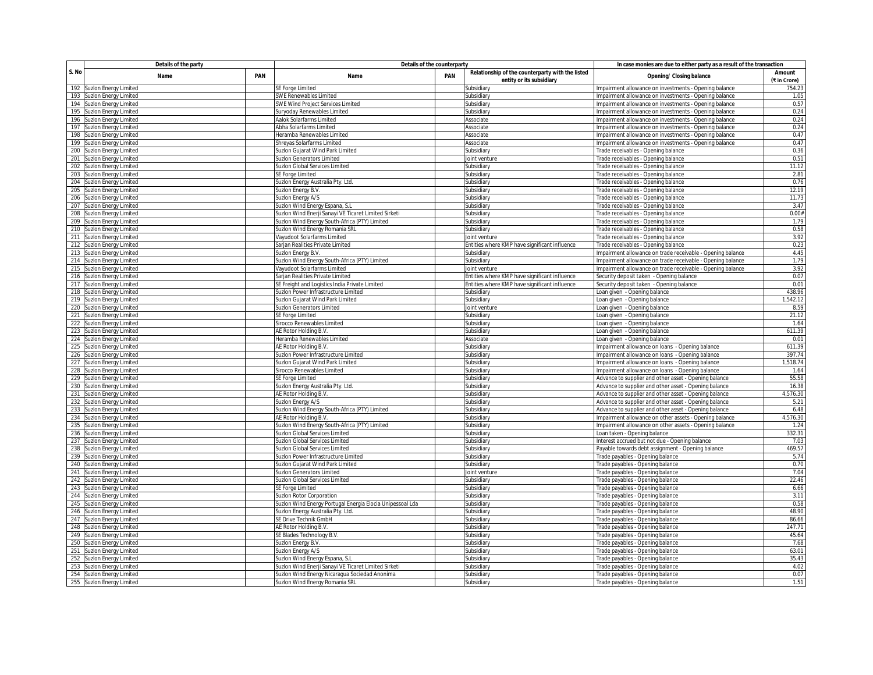|       | Details of the party                                   |     | Details of the counterparty                                             | In case monies are due to either party as a result of the transaction |                                                                              |                                                                                                   |                               |  |
|-------|--------------------------------------------------------|-----|-------------------------------------------------------------------------|-----------------------------------------------------------------------|------------------------------------------------------------------------------|---------------------------------------------------------------------------------------------------|-------------------------------|--|
| S. No | Name                                                   | PAN | Name                                                                    | <b>PAN</b>                                                            | Relationship of the counterparty with the listed<br>entity or its subsidiary | Opening/ Closing balance                                                                          | <b>Amount</b><br>(₹ in Crore) |  |
|       | 192 Suzlon Energy Limited                              |     | SE Forge Limited                                                        |                                                                       | Subsidiary                                                                   | Impairment allowance on investments - Opening balance                                             | 754.23                        |  |
| 193   | Suzlon Energy Limited                                  |     | <b>SWE Renewables Limited</b>                                           |                                                                       | Subsidiary                                                                   | mpairment allowance on investments - Opening balance                                              | 1.05                          |  |
|       | 194 Suzlon Energy Limited                              |     | SWE Wind Project Services Limited                                       |                                                                       | Subsidiary                                                                   | Impairment allowance on investments - Opening balance                                             | 0.57                          |  |
| 195   | Suzlon Energy Limited                                  |     | Suryoday Renewables Limited                                             |                                                                       | Subsidiary                                                                   | Impairment allowance on investments - Opening balance                                             | 0.24                          |  |
| 196   | Suzlon Energy Limited                                  |     | Aalok Solarfarms Limited                                                |                                                                       | Associate                                                                    | Impairment allowance on investments - Opening balance                                             | 0.24                          |  |
| 197   | Suzlon Energy Limited                                  |     | Abha Solarfarms Limited                                                 |                                                                       | Associate                                                                    | mpairment allowance on investments - Opening balance                                              | 0.24                          |  |
|       | 198 Suzlon Energy Limited                              |     | Heramba Renewables Limited                                              |                                                                       | Associate                                                                    | Impairment allowance on investments - Opening balance                                             | 0.47                          |  |
| 199   | Suzlon Energy Limited                                  |     | Shreyas Solarfarms Limited                                              |                                                                       | Associate                                                                    | Impairment allowance on investments - Opening balance                                             | 0.47                          |  |
| 200   | Suzlon Energy Limited                                  |     | Suzlon Gujarat Wind Park Limited                                        |                                                                       | Subsidiary                                                                   | Trade receivables - Opening balance                                                               | 0.36                          |  |
| 201   | Suzlon Energy Limited                                  |     | Suzlon Generators Limited                                               |                                                                       | loint venture                                                                | Trade receivables - Opening balance                                                               | 0.51                          |  |
|       | 202 Suzlon Energy Limited                              |     | Suzlon Global Services Limited                                          |                                                                       | Subsidiary                                                                   | Trade receivables - Opening balance                                                               | 11.12                         |  |
| 203   | Suzion Energy Limited                                  |     | SE Forge Limited                                                        |                                                                       | Subsidiary                                                                   | Trade receivables - Opening balance                                                               | 2.81                          |  |
| 204   | Suzion Energy Limited                                  |     | Suzlon Energy Australia Pty. Ltd                                        |                                                                       | Subsidiar                                                                    | Trade receivables - Opening balance                                                               | 0.76                          |  |
| 205   | Suzion Energy Limited                                  |     | Suzlon Energy B.V.                                                      |                                                                       | Subsidiary                                                                   | Trade receivables - Opening balance                                                               | 12.19                         |  |
| 206   | Suzion Energy Limited                                  |     | Suzlon Energy A/S                                                       |                                                                       | Subsidiary                                                                   | Trade receivables - Opening balance                                                               | 11.73                         |  |
| 207   | Suzlon Energy Limited                                  |     | Suzlon Wind Energy Espana, S.I                                          |                                                                       | Subsidiary                                                                   | Trade receivables - Opening balance                                                               | 3.47                          |  |
| 208   | Suzion Energy Limited                                  |     | Suzlon Wind Enerji Sanayi VE Ticaret Limited Sirketi                    |                                                                       | Subsidiary                                                                   | Trade receivables - Opening balance                                                               | 0.00#                         |  |
| 209   |                                                        |     |                                                                         |                                                                       |                                                                              |                                                                                                   | 1.79                          |  |
|       | Suzlon Energy Limited                                  |     | Suzlon Wind Energy South-Africa (PTY) Limited                           |                                                                       | Subsidiary<br>iubsidiary                                                     | Trade receivables - Opening balance<br>Trade receivables - Opening balance                        | 0.58                          |  |
|       | 210 Suzlon Energy Limited                              |     | Suzlon Wind Energy Romania SRL                                          |                                                                       |                                                                              |                                                                                                   | 3.92                          |  |
| 212   | 211 Suzlon Energy Limited                              |     | Vayudoot Solarfarms Limited                                             |                                                                       | Joint venture                                                                | Trade receivables - Opening balance                                                               | 0.23                          |  |
|       | <b>Suzlon Energy Limited</b>                           |     | Sarjan Realities Private Limited                                        |                                                                       | Entities where KMP have significant influence                                | Trade receivables - Opening balance                                                               |                               |  |
| 213   | Suzlon Energy Limited                                  |     | Suzlon Energy B.V                                                       |                                                                       | Subsidiary                                                                   | Impairment allowance on trade receivable - Opening balance                                        | 4.45                          |  |
|       | 214 Suzlon Energy Limited                              |     | Suzlon Wind Energy South-Africa (PTY) Limited                           |                                                                       | Subsidiary                                                                   | Impairment allowance on trade receivable - Opening balance                                        | 1.79<br>3.92                  |  |
|       | 215 Suzlon Energy Limited                              |     | Vayudoot Solarfarms Limited<br>Sarjan Realities Private Limited         |                                                                       | loint venture<br>Entities where KMP have significant influence               | Impairment allowance on trade receivable - Opening balance                                        | 0.07                          |  |
|       | 216 Suzlon Energy Limited                              |     |                                                                         |                                                                       |                                                                              | Security deposit taken - Opening balance                                                          | 0.01                          |  |
|       | 217 Suzlon Energy Limited                              |     | SE Freight and Logistics India Private Limited                          |                                                                       | Entities where KMP have significant influence                                | Security deposit taken - Opening balance                                                          | 438.96                        |  |
|       | 218 Suzlon Energy Limited<br>219 Suzlon Energy Limited |     | iuzion Power Infrastructure Limited<br>Suzlon Gujarat Wind Park Limited |                                                                       | iubsidiary<br>Subsidiary                                                     | Loan given - Opening balance<br>Loan given - Opening balance                                      | 1,542.12                      |  |
| 220   | Suzlon Energy Limited                                  |     | Suzlon Generators Limited                                               |                                                                       | Joint venture                                                                |                                                                                                   | 8.59                          |  |
| 221   | Suzlon Energy Limited                                  |     |                                                                         |                                                                       |                                                                              | Loan given - Opening balance                                                                      | 21.12                         |  |
|       | 222 Suzlon Energy Limited                              |     | SE Forge Limited<br>Sirocco Renewables Limited                          |                                                                       | Subsidiary<br>Subsidiary                                                     | Loan given - Opening balance<br>Loan given - Opening balance                                      | 1.64                          |  |
|       | 223 Suzlon Energy Limited                              |     |                                                                         |                                                                       |                                                                              |                                                                                                   | 611.39                        |  |
|       | 224 Suzlon Energy Limited                              |     | AE Rotor Holding B.V.<br>Heramba Renewables Limited                     |                                                                       | Subsidiary<br>Associate                                                      | Loan given - Opening balance<br>Loan given - Opening balance                                      | 0.01                          |  |
| 225   | Suzion Energy Limited                                  |     | AE Rotor Holding B.V.                                                   |                                                                       | Subsidiary                                                                   |                                                                                                   | 611.39                        |  |
|       | 226 Suzlon Energy Limited                              |     | Suzlon Power Infrastructure Limited                                     |                                                                       | Subsidiary                                                                   | mpairment allowance on loans - Opening balance<br>Impairment allowance on loans - Opening balance | 397.74                        |  |
|       | 227 Suzlon Energy Limited                              |     | Suzlon Gujarat Wind Park Limited                                        |                                                                       | <b>ubsidiary</b>                                                             | mpairment allowance on loans - Opening balance                                                    | 1,518.74                      |  |
| 228   | Suzlon Energy Limited                                  |     | Sirocco Renewables Limited                                              |                                                                       | Subsidiary                                                                   | Impairment allowance on loans - Opening balance                                                   | 1.64                          |  |
| 229   | Suzlon Energy Limited                                  |     | SE Forge Limited                                                        |                                                                       | Subsidiary                                                                   | Advance to supplier and other asset - Opening balance                                             | 55.58                         |  |
| 230   | Suzion Energy Limited                                  |     | Suzlon Energy Australia Pty. Ltd.                                       |                                                                       | Subsidiary                                                                   | Advance to supplier and other asset - Opening balance                                             | 16.38                         |  |
|       | 231 Suzlon Energy Limited                              |     | AE Rotor Holding B.V.                                                   |                                                                       | Subsidiary                                                                   | Advance to supplier and other asset - Opening balance                                             | 4,576.30                      |  |
|       | 232 Suzlon Energy Limited                              |     | Suzlon Energy A/S                                                       |                                                                       | Subsidiary                                                                   | Advance to supplier and other asset - Opening balance                                             | 5.21                          |  |
| 233   | Suzlon Energy Limited                                  |     | Suzlon Wind Energy South-Africa (PTY) Limited                           |                                                                       | Subsidian                                                                    | Advance to supplier and other asset - Opening balance                                             | 6.48                          |  |
| 234   | Suzlon Energy Limited                                  |     | AE Rotor Holding B.V.                                                   |                                                                       | Subsidiary                                                                   | Impairment allowance on other assets - Opening balance                                            | 4,576.30                      |  |
| 235   | Suzlon Energy Limited                                  |     | iuzlon Wind Energy South-Africa (PTY) Limited                           |                                                                       | <b>Subsidiary</b>                                                            | Impairment allowance on other assets - Opening balance                                            | 1.24                          |  |
|       | 236 Suzlon Energy Limited                              |     | Suzlon Global Services Limited                                          |                                                                       | Subsidiary                                                                   | Loan taken - Opening balance                                                                      | 332.31                        |  |
|       | 237 Suzlon Energy Limited                              |     | Suzlon Global Services Limited                                          |                                                                       | Subsidiary                                                                   | Interest accrued but not due - Opening balance                                                    | 7.03                          |  |
| 238   | Suzlon Energy Limited                                  |     | Suzlon Global Services Limited                                          |                                                                       | Subsidiary                                                                   | Payable towards debt assignment - Opening balance                                                 | 469.57                        |  |
| 239   | Suzlon Energy Limited                                  |     | Suzion Power Infrastructure Limited                                     |                                                                       | Subsidiary                                                                   | Trade payables - Opening balance                                                                  | 5.74                          |  |
|       | 240 Suzlon Energy Limited                              |     | Suzlon Gujarat Wind Park Limited                                        |                                                                       | Subsidiary                                                                   | Trade payables - Opening balance                                                                  | 0.70                          |  |
| 241   | Suzion Energy Limited                                  |     | Suzlon Generators Limited                                               |                                                                       | Joint ventur                                                                 | Trade payables - Opening balance                                                                  | 7.04                          |  |
| 242   | Suzion Energy Limited                                  |     | Suzlon Global Services Limited                                          |                                                                       | Subsidiary                                                                   | Trade payables - Opening balance                                                                  | 22.46                         |  |
| 243   | Suzlon Energy Limited                                  |     | SE Forge Limited                                                        |                                                                       | Subsidiary                                                                   | Trade payables - Opening balance                                                                  | 6.66                          |  |
| 244   | Suzlon Energy Limited                                  |     | iuzion Rotor Corporation                                                |                                                                       | iubsidiary                                                                   | Trade payables - Opening balance                                                                  | 3.11                          |  |
|       | 245 Suzlon Energy Limited                              |     | Suzlon Wind Energy Portugal Energia Elocia Unipessoal Lda               |                                                                       | Subsidiary                                                                   | Trade payables - Opening balance                                                                  | 0.58                          |  |
| 246   | Suzlon Energy Limited                                  |     | Suzlon Energy Australia Pty. Ltd.                                       |                                                                       | Subsidiary                                                                   | Trade payables - Opening balance                                                                  | 48.90                         |  |
|       | 247 Suzlon Energy Limited                              |     | SE Drive Technik GmbH                                                   |                                                                       | Subsidiary                                                                   | Trade payables - Opening balance                                                                  | 86.66                         |  |
|       | 248 Suzlon Energy Limited                              |     | AE Rotor Holding B.V.                                                   |                                                                       | Subsidiary                                                                   | Trade payables - Opening balance                                                                  | 247.71                        |  |
|       | 249 Suzlon Energy Limited                              |     | SE Blades Technology B.V                                                |                                                                       | Subsidiary                                                                   | Trade payables - Opening balance                                                                  | 45.64                         |  |
|       | 250 Suzlon Energy Limited                              |     | Suzlon Energy B.V.                                                      |                                                                       | Subsidiary                                                                   | Trade payables - Opening balance                                                                  | 7.68                          |  |
|       | 251 Suzlon Energy Limited                              |     | Suzlon Energy A/S                                                       |                                                                       | Subsidiary                                                                   | Trade payables - Opening balance                                                                  | 63.01                         |  |
|       | 252 Suzlon Energy Limited                              |     | Suzlon Wind Energy Espana, S.L                                          |                                                                       | <b>ubsidiary</b>                                                             | Trade payables - Opening balance                                                                  | 35.43                         |  |
|       | 253 Suzlon Energy Limited                              |     | Suzlon Wind Enerji Sanayi VE Ticaret Limited Sirketi                    |                                                                       | Subsidiary                                                                   | Trade payables - Opening balance                                                                  | 4.02                          |  |
|       | 254 Suzlon Energy Limited                              |     | Suzlon Wind Energy Nicaragua Sociedad Anonima                           |                                                                       | Subsidiary                                                                   | Trade payables - Opening balance                                                                  | 0.07                          |  |
|       | 255 Suzlon Energy Limited                              |     | Suzlon Wind Energy Romania SRL                                          |                                                                       | Subsidiary                                                                   | Trade payables - Opening balance                                                                  | 1.51                          |  |